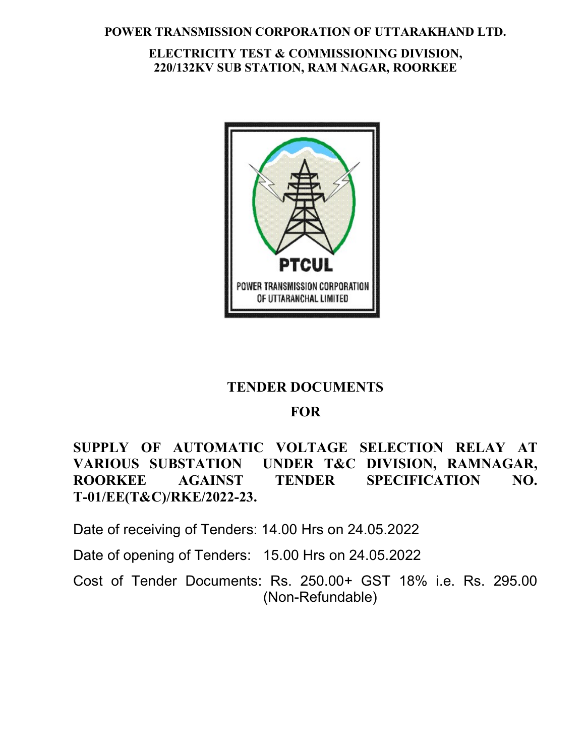#### POWER TRANSMISSION CORPORATION OF UTTARAKHAND LTD.

## ELECTRICITY TEST & COMMISSIONING DIVISION, 220/132KV SUB STATION, RAM NAGAR, ROORKEE



# TENDER DOCUMENTS

## FOR

SUPPLY OF AUTOMATIC VOLTAGE SELECTION RELAY AT VARIOUS SUBSTATION UNDER T&C DIVISION, RAMNAGAR, ROORKEE AGAINST TENDER SPECIFICATION NO. T-01/EE(T&C)/RKE/2022-23.

Date of receiving of Tenders: 14.00 Hrs on 24.05.2022

Date of opening of Tenders: 15.00 Hrs on 24.05.2022

Cost of Tender Documents: Rs. 250.00+ GST 18% i.e. Rs. 295.00 (Non-Refundable)